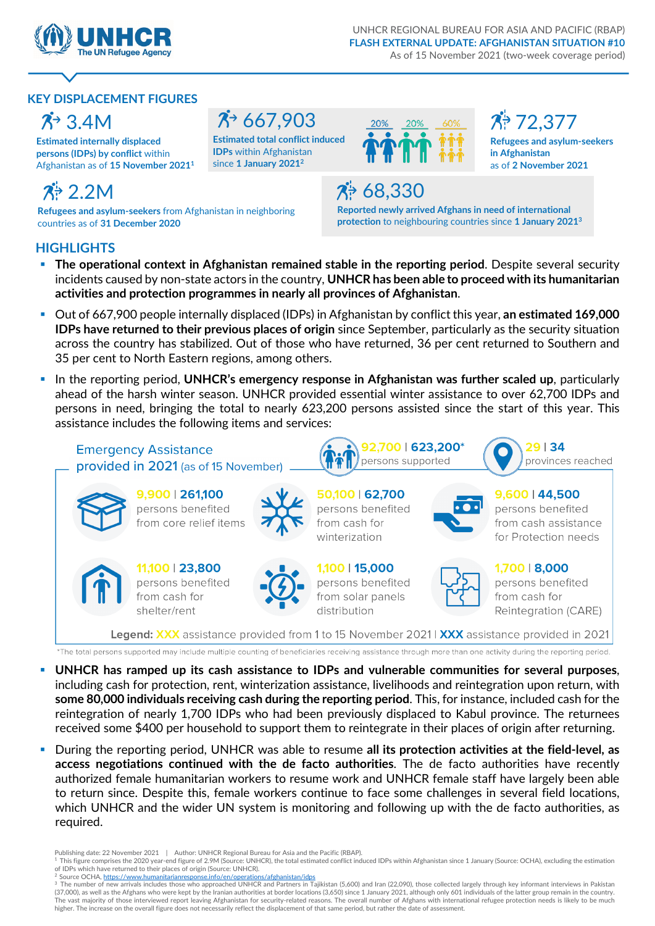

#### **KEY DISPLACEMENT FIGURES**

### $\mathcal{R}^3$  3.4M

**Estimated internally displaced persons (IDPs) by conflict** within Afghanistan as of **15 November 20211**

### $7^{\frac{1}{2}}667,903$

**Estimated total conflict induced IDPs** within Afghanistan since **1 January 20212**



72,377

**Refugees and asylum-seekers in Afghanistan**  as of **2 November 2021**

# 2.2M

**Refugees and asylum-seekers** from Afghanistan in neighboring countries as of **31 December 2020**

# 68,330

**Reported newly arrived Afghans in need of international protection** to neighbouring countries since **1 January 20213**

### **HIGHLIGHTS**

- **The operational context in Afghanistan remained stable in the reporting period**. Despite several security incidents caused by non-state actors in the country, **UNHCR has been able to proceed with its humanitarian activities and protection programmes in nearly all provinces of Afghanistan**.
- Out of 667,900 people internally displaced (IDPs) in Afghanistan by conflict this year, **an estimated 169,000 IDPs have returned to their previous places of origin** since September, particularly as the security situation across the country has stabilized. Out of those who have returned, 36 per cent returned to Southern and 35 per cent to North Eastern regions, among others.
- In the reporting period, **UNHCR's emergency response in Afghanistan was further scaled up**, particularly ahead of the harsh winter season. UNHCR provided essential winter assistance to over 62,700 IDPs and persons in need, bringing the total to nearly 623,200 persons assisted since the start of this year. This assistance includes the following items and services:



- **UNHCR has ramped up its cash assistance to IDPs and vulnerable communities for several purposes**, including cash for protection, rent, winterization assistance, livelihoods and reintegration upon return, with **some 80,000 individuals receiving cash during the reporting period**. This, for instance, included cash for the reintegration of nearly 1,700 IDPs who had been previously displaced to Kabul province. The returnees received some \$400 per household to support them to reintegrate in their places of origin after returning.
- During the reporting period, UNHCR was able to resume **all its protection activities at the field-level, as access negotiations continued with the de facto authorities**. The de facto authorities have recently authorized female humanitarian workers to resume work and UNHCR female staff have largely been able to return since. Despite this, female workers continue to face some challenges in several field locations, which UNHCR and the wider UN system is monitoring and following up with the de facto authorities, as required.

- 1 This figure comprises the 2020 year-end figure of 2.9M (Source: UNHCR), the total estimated conflict induced IDPs within Afghanistan since 1 January (Source: OCHA), excluding the estimation
- of IDPs which have returned to their places of origin (Source: UNHCR).<br><sup>2</sup> Source OCHA, <u>https://www.humanitarianresponse.info/en/operations/afghanistan/idps</u>

Publishing date: 22 November 2021 | Author: UNHCR Regional Bureau for Asia and the Pacific (RBAP).

<sup>&</sup>lt;sup>3</sup> The number of new arrivals includes those who approached UNHCR and Partners in Tajikistan (5,600) and Iran (22,090), those collected largely through key informant interviews in Pakistan<br>(37,000), as well as the Afghans .<br>The vast majority of those interviewed report leaving Afghanistan for security-related reasons. The overall number of Afghans with international refugee protection needs is likely to be much higher. The increase on the overall figure does not necessarily reflect the displacement of that same period, but rather the date of assessment.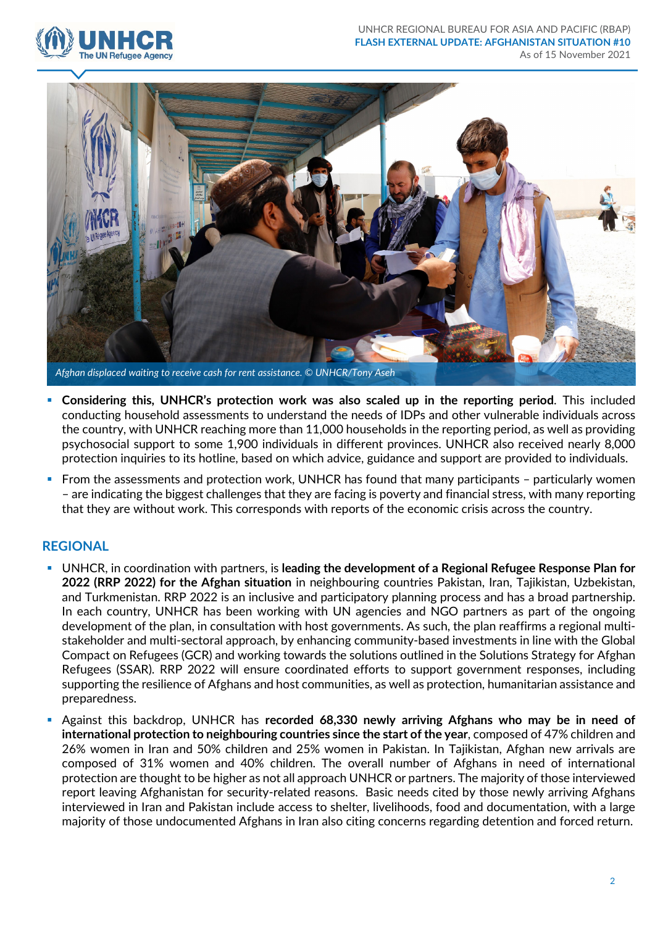



- **Considering this, UNHCR's protection work was also scaled up in the reporting period**. This included conducting household assessments to understand the needs of IDPs and other vulnerable individuals across the country, with UNHCR reaching more than 11,000 households in the reporting period, as well as providing psychosocial support to some 1,900 individuals in different provinces. UNHCR also received nearly 8,000 protection inquiries to its hotline, based on which advice, guidance and support are provided to individuals.
- From the assessments and protection work, UNHCR has found that many participants particularly women – are indicating the biggest challenges that they are facing is poverty and financial stress, with many reporting that they are without work. This corresponds with reports of the economic crisis across the country.

#### **REGIONAL**

- UNHCR, in coordination with partners, is **leading the development of a Regional Refugee Response Plan for 2022 (RRP 2022) for the Afghan situation** in neighbouring countries Pakistan, Iran, Tajikistan, Uzbekistan, and Turkmenistan. RRP 2022 is an inclusive and participatory planning process and has a broad partnership. In each country, UNHCR has been working with UN agencies and NGO partners as part of the ongoing development of the plan, in consultation with host governments. As such, the plan reaffirms a regional multistakeholder and multi-sectoral approach, by enhancing community-based investments in line with the Global Compact on Refugees (GCR) and working towards the solutions outlined in the Solutions Strategy for Afghan Refugees (SSAR). RRP 2022 will ensure coordinated efforts to support government responses, including supporting the resilience of Afghans and host communities, as well as protection, humanitarian assistance and preparedness.
- Against this backdrop, UNHCR has **recorded 68,330 newly arriving Afghans who may be in need of international protection to neighbouring countries since the start of the year**, composed of 47% children and 26% women in Iran and 50% children and 25% women in Pakistan. In Tajikistan, Afghan new arrivals are composed of 31% women and 40% children. The overall number of Afghans in need of international protection are thought to be higher as not all approach UNHCR or partners. The majority of those interviewed report leaving Afghanistan for security-related reasons. Basic needs cited by those newly arriving Afghans interviewed in Iran and Pakistan include access to shelter, livelihoods, food and documentation, with a large majority of those undocumented Afghans in Iran also citing concerns regarding detention and forced return.